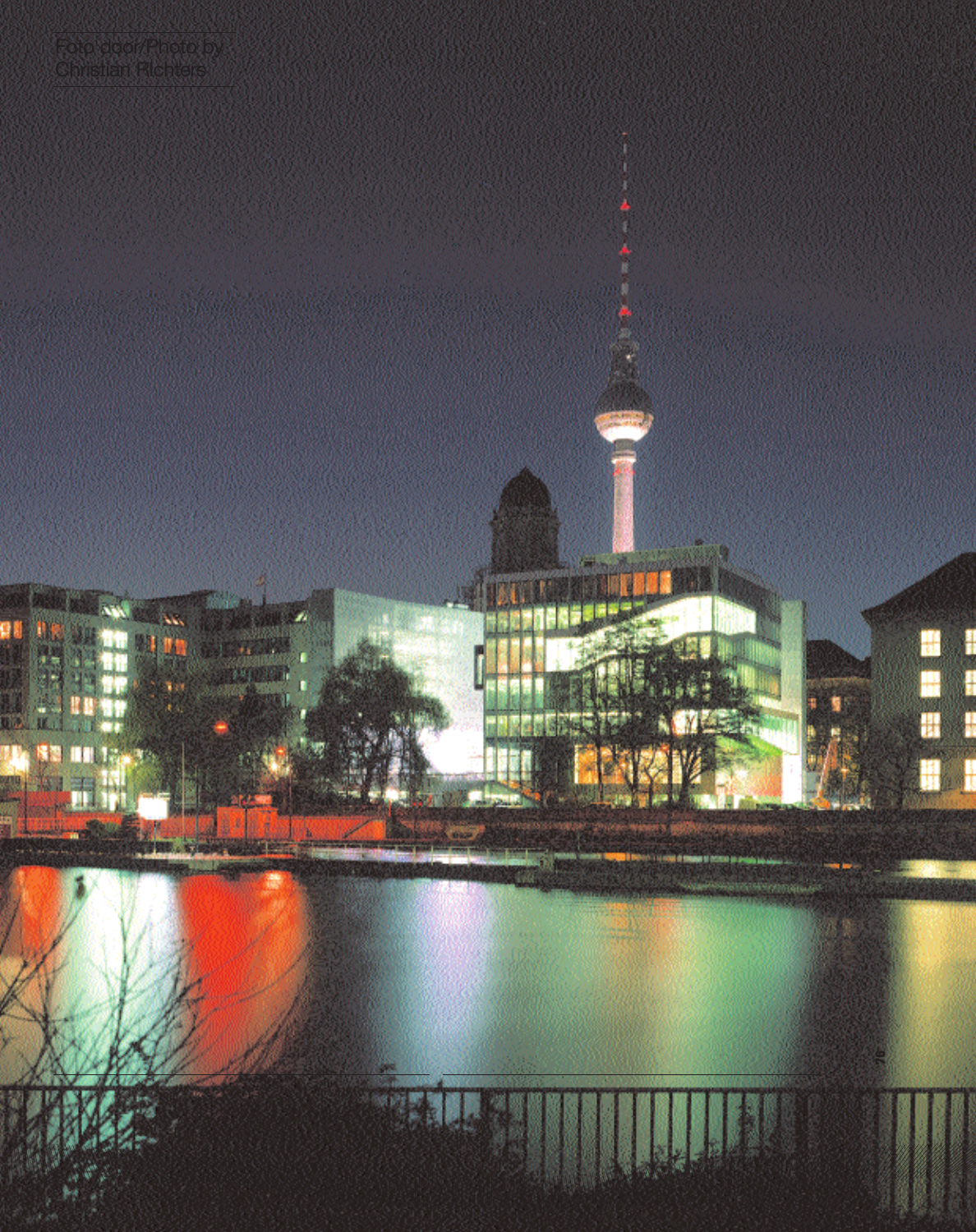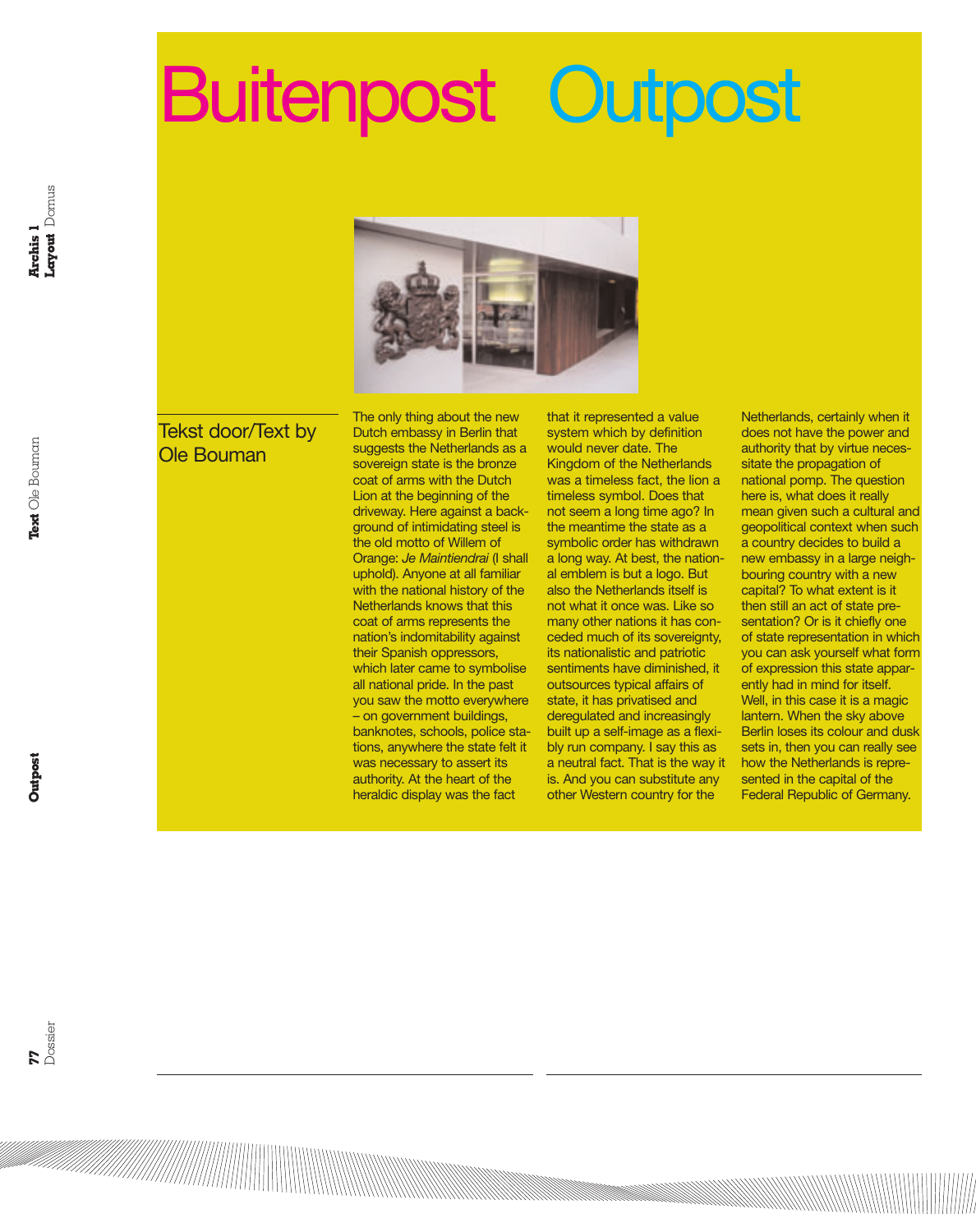## Buitenpost Outpost



## Tekst door/Text by Ole Bouman

The only thing about the new Dutch embassy in Berlin that suggests the Netherlands as a sovereign state is the bronze coat of arms with the Dutch Lion at the beginning of the driveway. Here against a background of intimidating steel is the old motto of Willem of Orange: *Je Maintiendrai* (I shall uphold). Anyone at all familiar with the national history of the Netherlands knows that this coat of arms represents the nation's indomitability against their Spanish oppressors, which later came to symbolise all national pride. In the past you saw the motto everywhere – on government buildings, banknotes, schools, police stations, anywhere the state felt it was necessary to assert its authority. At the heart of the heraldic display was the fact

that it represented a value system which by definition would never date. The Kingdom of the Netherlands was a timeless fact, the lion a timeless symbol. Does that not seem a long time ago? In the meantime the state as a symbolic order has withdrawn a long way. At best, the national emblem is but a logo. But also the Netherlands itself is not what it once was. Like so many other nations it has conceded much of its sovereignty, its nationalistic and patriotic sentiments have diminished, it outsources typical affairs of state, it has privatised and deregulated and increasingly built up a self-image as a flexibly run company. I say this as a neutral fact. That is the way it is. And you can substitute any other Western country for the

Netherlands, certainly when it does not have the power and authority that by virtue necessitate the propagation of national pomp. The question here is, what does it really mean given such a cultural and geopolitical context when such a country decides to build a new embassy in a large neighbouring country with a new capital? To what extent is it then still an act of state presentation? Or is it chiefly one of state representation in which you can ask yourself what form of expression this state apparently had in mind for itself. Well, in this case it is a magic lantern. When the sky above Berlin loses its colour and dusk sets in, then you can really see how the Netherlands is represented in the capital of the Federal Republic of Germany.

<u> Karalı (ö. 1971)</u><br>1971 - Samuel Hardwell, samuel samuel film (ö. 1971)<br>1971 - Samuel Salvador (ö. 1971)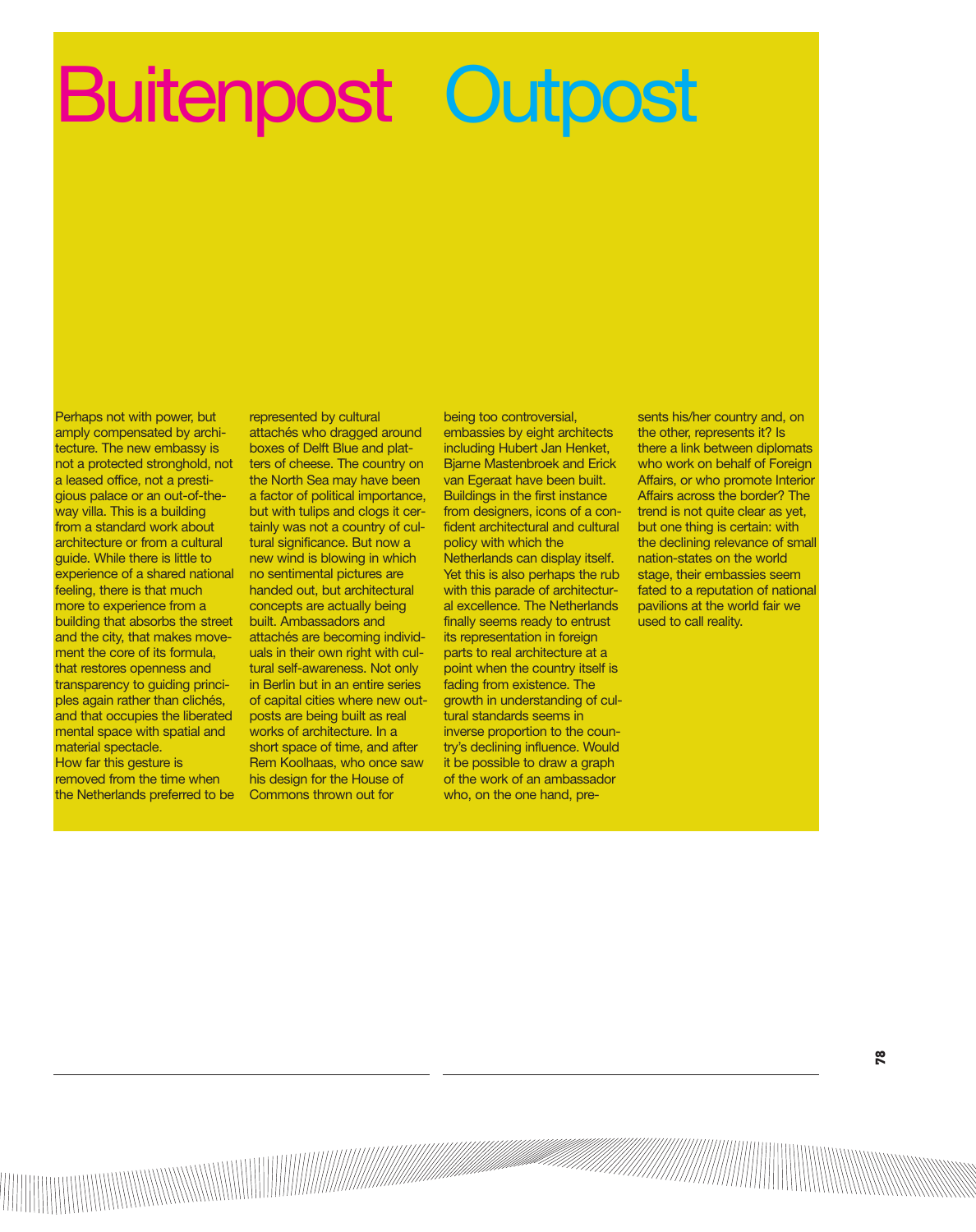## Buitenpost Outpost

Perhaps not with power, but amply compensated by architecture. The new embassy is not a protected stronghold, not a leased office, not a prestigious palace or an out-of-theway villa. This is a building from a standard work about architecture or from a cultural guide. While there is little to experience of a shared national feeling, there is that much more to experience from a building that absorbs the street and the city, that makes movement the core of its formula, that restores openness and transparency to guiding principles again rather than clichés, and that occupies the liberated mental space with spatial and material spectacle. How far this gesture is removed from the time when the Netherlands preferred to be

represented by cultural attachés who dragged around boxes of Delft Blue and platters of cheese. The country on the North Sea may have been a factor of political importance, but with tulips and clogs it certainly was not a country of cultural significance. But now a new wind is blowing in which no sentimental pictures are handed out, but architectural concepts are actually being built. Ambassadors and attachés are becoming individuals in their own right with cultural self-awareness. Not only in Berlin but in an entire series of capital cities where new outposts are being built as real works of architecture. In a short space of time, and after Rem Koolhaas, who once saw his design for the House of Commons thrown out for

being too controversial, embassies by eight architects including Hubert Jan Henket, Bjarne Mastenbroek and Erick van Egeraat have been built. Buildings in the first instance from designers, icons of a confident architectural and cultural policy with which the Netherlands can display itself. Yet this is also perhaps the rub with this parade of architectural excellence. The Netherlands finally seems ready to entrust its representation in foreign parts to real architecture at a point when the country itself is fading from existence. The growth in understanding of cultural standards seems in inverse proportion to the country's declining influence. Would it be possible to draw a graph of the work of an ambassador who, on the one hand, pre-

sents his/her country and, on the other, represents it? Is there a link between diplomats who work on behalf of Foreign Affairs, or who promote Interior Affairs across the border? The trend is not quite clear as yet, but one thing is certain: with the declining relevance of small nation-states on the world stage, their embassies seem fated to a reputation of national pavilions at the world fair we used to call reality.